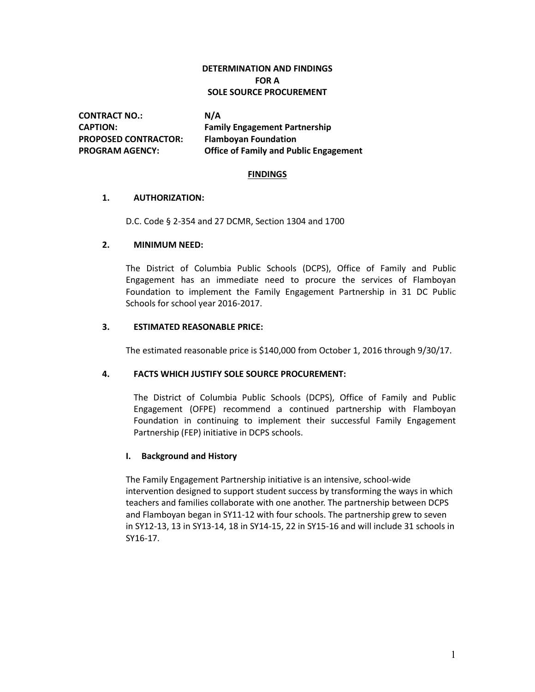## **DETERMINATION AND FINDINGS FOR A SOLE SOURCE PROCUREMENT**

**CONTRACT NO.: N/A PROPOSED CONTRACTOR: Flamboyan Foundation**

**CAPTION: Family Engagement Partnership PROGRAM AGENCY: Office of Family and Public Engagement**

#### **FINDINGS**

## **1. AUTHORIZATION:**

D.C. Code § 2-354 and 27 DCMR, Section 1304 and 1700

## **2. MINIMUM NEED:**

The District of Columbia Public Schools (DCPS), Office of Family and Public Engagement has an immediate need to procure the services of Flamboyan Foundation to implement the Family Engagement Partnership in 31 DC Public Schools for school year 2016-2017.

## **3. ESTIMATED REASONABLE PRICE:**

The estimated reasonable price is \$140,000 from October 1, 2016 through 9/30/17.

## **4. FACTS WHICH JUSTIFY SOLE SOURCE PROCUREMENT:**

The District of Columbia Public Schools (DCPS), Office of Family and Public Engagement (OFPE) recommend a continued partnership with Flamboyan Foundation in continuing to implement their successful Family Engagement Partnership (FEP) initiative in DCPS schools.

## **I. Background and History**

The Family Engagement Partnership initiative is an intensive, school-wide intervention designed to support student success by transforming the ways in which teachers and families collaborate with one another. The partnership between DCPS and Flamboyan began in SY11-12 with four schools. The partnership grew to seven in SY12-13, 13 in SY13-14, 18 in SY14-15, 22 in SY15-16 and will include 31 schools in SY16-17.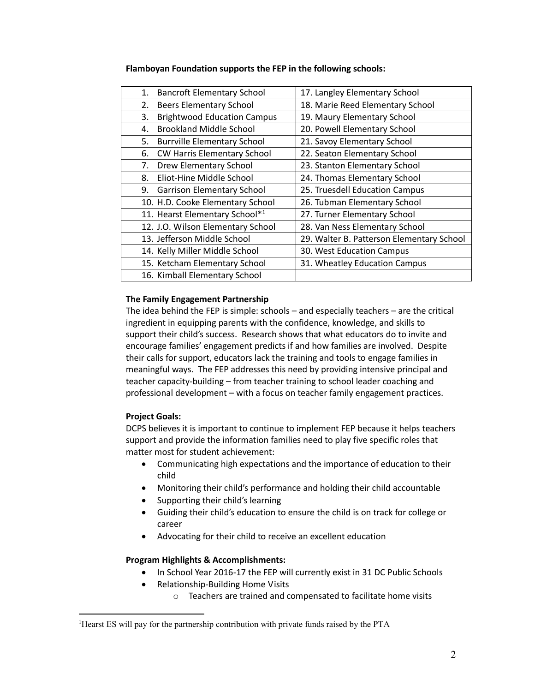| <b>Bancroft Elementary School</b><br>1.  | 17. Langley Elementary School             |
|------------------------------------------|-------------------------------------------|
| <b>Beers Elementary School</b><br>2.     | 18. Marie Reed Elementary School          |
| <b>Brightwood Education Campus</b><br>3. | 19. Maury Elementary School               |
| <b>Brookland Middle School</b><br>4.     | 20. Powell Elementary School              |
| <b>Burrville Elementary School</b><br>5. | 21. Savoy Elementary School               |
| <b>CW Harris Elementary School</b><br>6. | 22. Seaton Elementary School              |
| <b>Drew Elementary School</b><br>7.      | 23. Stanton Elementary School             |
| Eliot-Hine Middle School<br>8.           | 24. Thomas Elementary School              |
| 9.<br><b>Garrison Elementary School</b>  | 25. Truesdell Education Campus            |
| 10. H.D. Cooke Elementary School         | 26. Tubman Elementary School              |
| 11. Hearst Elementary School*1           | 27. Turner Elementary School              |
| 12. J.O. Wilson Elementary School        | 28. Van Ness Elementary School            |
| 13. Jefferson Middle School              | 29. Walter B. Patterson Elementary School |
| 14. Kelly Miller Middle School           | 30. West Education Campus                 |
| 15. Ketcham Elementary School            | 31. Wheatley Education Campus             |
| 16. Kimball Elementary School            |                                           |

#### **Flamboyan Foundation supports the FEP in the following schools:**

## **The Family Engagement Partnership**

The idea behind the FEP is simple: schools – and especially teachers – are the critical ingredient in equipping parents with the confidence, knowledge, and skills to support their child's success. Research shows that what educators do to invite and encourage families' engagement predicts if and how families are involved. Despite their calls for support, educators lack the training and tools to engage families in meaningful ways. The FEP addresses this need by providing intensive principal and teacher capacity-building – from teacher training to school leader coaching and professional development – with a focus on teacher family engagement practices.

## **Project Goals:**

 $\overline{a}$ 

DCPS believes it is important to continue to implement FEP because it helps teachers support and provide the information families need to play five specific roles that matter most for student achievement:

- Communicating high expectations and the importance of education to their child
- Monitoring their child's performance and holding their child accountable
- Supporting their child's learning
- Guiding their child's education to ensure the child is on track for college or career
- Advocating for their child to receive an excellent education

## **Program Highlights & Accomplishments:**

- In School Year 2016-17 the FEP will currently exist in 31 DC Public Schools
- Relationship-Building Home Visits
	- o Teachers are trained and compensated to facilitate home visits

<sup>&</sup>lt;sup>1</sup>Hearst ES will pay for the partnership contribution with private funds raised by the PTA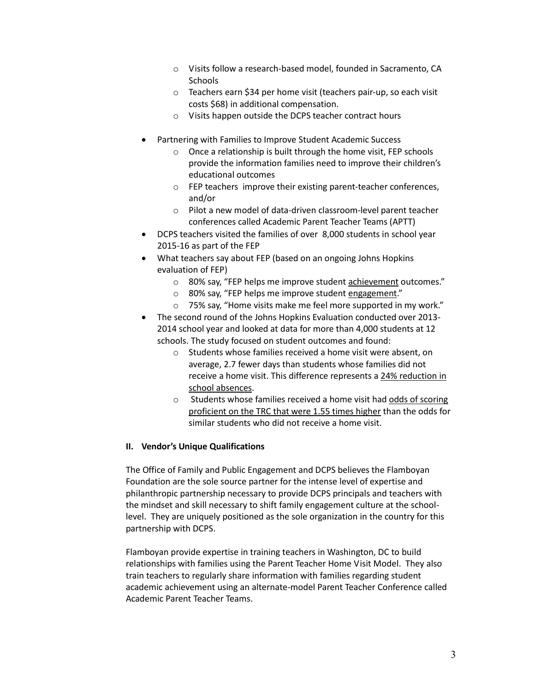- o Visits follow a research-based model, founded in Sacramento, CA Schools
- o Teachers earn \$34 per home visit (teachers pair-up, so each visit costs \$68) in additional compensation.
- o Visits happen outside the DCPS teacher contract hours
- Partnering with Families to Improve Student Academic Success
	- o Once a relationship is built through the home visit, FEP schools provide the information families need to improve their children's educational outcomes
	- o FEP teachers improve their existing parent-teacher conferences, and/or
	- o Pilot a new model of data-driven classroom-level parent teacher conferences called Academic Parent Teacher Teams (APTT)
- DCPS teachers visited the families of over 8,000 students in school year 2015-16 as part of the FEP
- What teachers say about FEP (based on an ongoing Johns Hopkins evaluation of FEP)
	- o 80% say, "FEP helps me improve student achievement outcomes."
	- o 80% say, "FEP helps me improve student engagement."
	- o 75% say, "Home visits make me feel more supported in my work."
- The second round of the Johns Hopkins Evaluation conducted over 2013-2014 school year and looked at data for more than 4,000 students at 12 schools. The study focused on student outcomes and found:
	- o Students whose families received a home visit were absent, on average, 2.7 fewer days than students whose families did not receive a home visit. This difference represents a 24% reduction in school absences.
	- o Students whose families received a home visit had odds of scoring proficient on the TRC that were 1.55 times higher than the odds for similar students who did not receive a home visit.

## **II. Vendor's Unique Qualifications**

The Office of Family and Public Engagement and DCPS believes the Flamboyan Foundation are the sole source partner for the intense level of expertise and philanthropic partnership necessary to provide DCPS principals and teachers with the mindset and skill necessary to shift family engagement culture at the schoollevel. They are uniquely positioned as the sole organization in the country for this partnership with DCPS.

Flamboyan provide expertise in training teachers in Washington, DC to build relationships with families using the Parent Teacher Home Visit Model. They also train teachers to regularly share information with families regarding student academic achievement using an alternate-model Parent Teacher Conference called Academic Parent Teacher Teams.